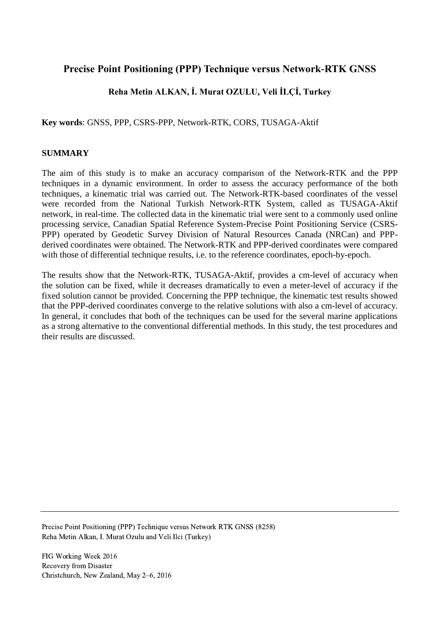## **Precise Point Positioning (PPP) Technique versus Network-RTK GNSS**

## **Reha Metin ALKAN, İ. Murat OZULU, Veli İLÇİ, Turkey**

**Key words**: GNSS, PPP, CSRS-PPP, Network-RTK, CORS, TUSAGA-Aktif

#### **SUMMARY**

The aim of this study is to make an accuracy comparison of the Network-RTK and the PPP techniques in a dynamic environment. In order to assess the accuracy performance of the both techniques, a kinematic trial was carried out. The Network-RTK-based coordinates of the vessel were recorded from the National Turkish Network-RTK System, called as TUSAGA-Aktif network, in real-time. The collected data in the kinematic trial were sent to a commonly used online processing service, Canadian Spatial Reference System-Precise Point Positioning Service (CSRS-PPP) operated by Geodetic Survey Division of Natural Resources Canada (NRCan) and PPPderived coordinates were obtained. The Network-RTK and PPP-derived coordinates were compared with those of differential technique results, i.e. to the reference coordinates, epoch-by-epoch.

The results show that the Network-RTK, TUSAGA-Aktif, provides a cm-level of accuracy when the solution can be fixed, while it decreases dramatically to even a meter-level of accuracy if the fixed solution cannot be provided. Concerning the PPP technique, the kinematic test results showed that the PPP-derived coordinates converge to the relative solutions with also a cm-level of accuracy. In general, it concludes that both of the techniques can be used for the several marine applications as a strong alternative to the conventional differential methods. In this study, the test procedures and their results are discussed.

Precise Point Positioning (PPP) Technique versus Network RTK GNSS (8258) Reha Metin Alkan, I. Murat Ozulu and Veli Ilci (Turkey)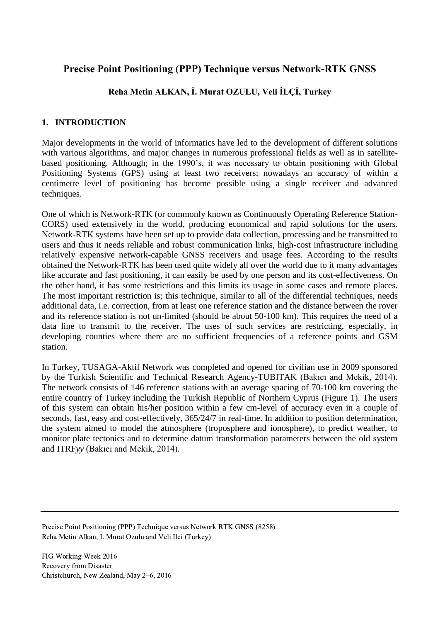# **Precise Point Positioning (PPP) Technique versus Network-RTK GNSS**

## **Reha Metin ALKAN, İ. Murat OZULU, Veli İLÇİ, Turkey**

### **1. INTRODUCTION**

Major developments in the world of informatics have led to the development of different solutions with various algorithms, and major changes in numerous professional fields as well as in satellitebased positioning. Although; in the 1990's, it was necessary to obtain positioning with Global Positioning Systems (GPS) using at least two receivers; nowadays an accuracy of within a centimetre level of positioning has become possible using a single receiver and advanced techniques.

One of which is Network-RTK (or commonly known as Continuously Operating Reference Station-CORS) used extensively in the world, producing economical and rapid solutions for the users. Network-RTK systems have been set up to provide data collection, processing and be transmitted to users and thus it needs reliable and robust communication links, high-cost infrastructure including relatively expensive network-capable GNSS receivers and usage fees. According to the results obtained the Network-RTK has been used quite widely all over the world due to it many advantages like accurate and fast positioning, it can easily be used by one person and its cost-effectiveness. On the other hand, it has some restrictions and this limits its usage in some cases and remote places. The most important restriction is; this technique, similar to all of the differential techniques, needs additional data, i.e. correction, from at least one reference station and the distance between the rover and its reference station is not un-limited (should be about 50-100 km). This requires the need of a data line to transmit to the receiver. The uses of such services are restricting, especially, in developing counties where there are no sufficient frequencies of a reference points and GSM station.

In Turkey, TUSAGA-Aktif Network was completed and opened for civilian use in 2009 sponsored by the Turkish Scientific and Technical Research Agency-TUBITAK (Bakıcı and Mekik, 2014). The network consists of 146 reference stations with an average spacing of 70-100 km covering the entire country of Turkey including the Turkish Republic of Northern Cyprus (Figure 1). The users of this system can obtain his/her position within a few cm-level of accuracy even in a couple of seconds, fast, easy and cost-effectively, 365/24/7 in real-time. In addition to position determination, the system aimed to model the atmosphere (troposphere and ionosphere), to predict weather, to monitor plate tectonics and to determine datum transformation parameters between the old system and ITRF*yy* (Bakıcı and Mekik, 2014).

Precise Point Positioning (PPP) Technique versus Network RTK GNSS (8258) Reha Metin Alkan, I. Murat Ozulu and Veli Ilci (Turkey)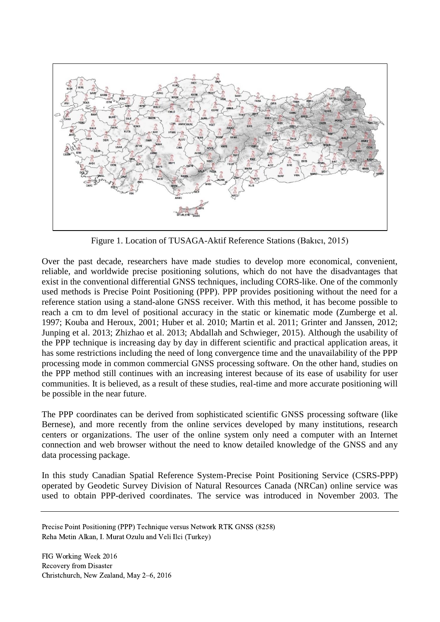

Figure 1. Location of TUSAGA-Aktif Reference Stations (Bakıcı, 2015)

Over the past decade, researchers have made studies to develop more economical, convenient, reliable, and worldwide precise positioning solutions, which do not have the disadvantages that exist in the conventional differential GNSS techniques, including CORS-like. One of the commonly used methods is Precise Point Positioning (PPP). PPP provides positioning without the need for a reference station using a stand-alone GNSS receiver. With this method, it has become possible to reach a cm to dm level of positional accuracy in the static or kinematic mode (Zumberge et al. 1997; Kouba and Heroux, 2001; Huber et al. 2010; Martin et al. 2011; Grinter and Janssen, 2012; Junping et al. 2013; Zhizhao et al. 2013; Abdallah and Schwieger, 2015). Although the usability of the PPP technique is increasing day by day in different scientific and practical application areas, it has some restrictions including the need of long convergence time and the unavailability of the PPP processing mode in common commercial GNSS processing software. On the other hand, studies on the PPP method still continues with an increasing interest because of its ease of usability for user communities. It is believed, as a result of these studies, real-time and more accurate positioning will be possible in the near future.

The PPP coordinates can be derived from sophisticated scientific GNSS processing software (like Bernese), and more recently from the online services developed by many institutions, research centers or organizations. The user of the online system only need a computer with an Internet connection and web browser without the need to know detailed knowledge of the GNSS and any data processing package.

In this study Canadian Spatial Reference System-Precise Point Positioning Service (CSRS-PPP) operated by Geodetic Survey Division of Natural Resources Canada (NRCan) online service was used to obtain PPP-derived coordinates. The service was introduced in November 2003. The

Precise Point Positioning (PPP) Technique versus Network RTK GNSS (8258) Reha Metin Alkan, I. Murat Ozulu and Veli Ilci (Turkey)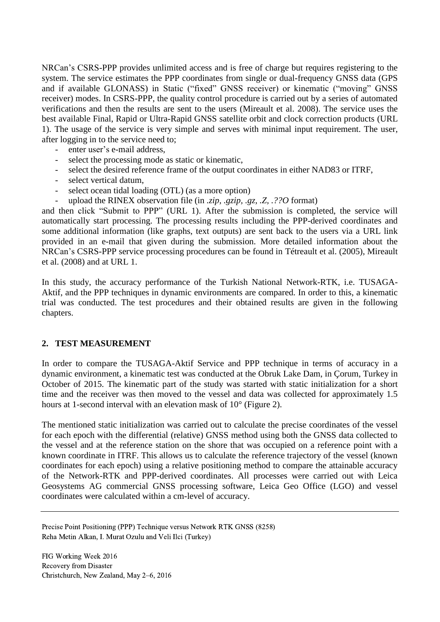NRCan's CSRS-PPP provides unlimited access and is free of charge but requires registering to the system. The service estimates the PPP coordinates from single or dual-frequency GNSS data (GPS and if available GLONASS) in Static ("fixed" GNSS receiver) or kinematic ("moving" GNSS receiver) modes. In CSRS-PPP, the quality control procedure is carried out by a series of automated verifications and then the results are sent to the users (Mireault et al. 2008). The service uses the best available Final, Rapid or Ultra-Rapid GNSS satellite orbit and clock correction products (URL 1). The usage of the service is very simple and serves with minimal input requirement. The user, after logging in to the service need to;

- enter user's e-mail address,
- select the processing mode as static or kinematic,
- select the desired reference frame of the output coordinates in either NAD83 or ITRF,
- select vertical datum,
- select ocean tidal loading (OTL) (as a more option)
- upload the RINEX observation file (in *.zip, .gzip, .gz, .Z, .??O* format)

and then click "Submit to PPP" (URL 1). After the submission is completed, the service will automatically start processing. The processing results including the PPP-derived coordinates and some additional information (like graphs, text outputs) are sent back to the users via a URL link provided in an e-mail that given during the submission. More detailed information about the NRCan's CSRS-PPP service processing procedures can be found in Tétreault et al. (2005), Mireault et al. (2008) and at URL 1.

In this study, the accuracy performance of the Turkish National Network-RTK, i.e. TUSAGA-Aktif, and the PPP techniques in dynamic environments are compared. In order to this, a kinematic trial was conducted. The test procedures and their obtained results are given in the following chapters.

#### **2. TEST MEASUREMENT**

In order to compare the TUSAGA-Aktif Service and PPP technique in terms of accuracy in a dynamic environment, a kinematic test was conducted at the Obruk Lake Dam, in Çorum, Turkey in October of 2015. The kinematic part of the study was started with static initialization for a short time and the receiver was then moved to the vessel and data was collected for approximately 1.5 hours at 1-second interval with an elevation mask of 10° (Figure 2).

The mentioned static initialization was carried out to calculate the precise coordinates of the vessel for each epoch with the differential (relative) GNSS method using both the GNSS data collected to the vessel and at the reference station on the shore that was occupied on a reference point with a known coordinate in ITRF. This allows us to calculate the reference trajectory of the vessel (known coordinates for each epoch) using a relative positioning method to compare the attainable accuracy of the Network-RTK and PPP-derived coordinates. All processes were carried out with Leica Geosystems AG commercial GNSS processing software, Leica Geo Office (LGO) and vessel coordinates were calculated within a cm-level of accuracy.

Precise Point Positioning (PPP) Technique versus Network RTK GNSS (8258) Reha Metin Alkan, I. Murat Ozulu and Veli Ilci (Turkey)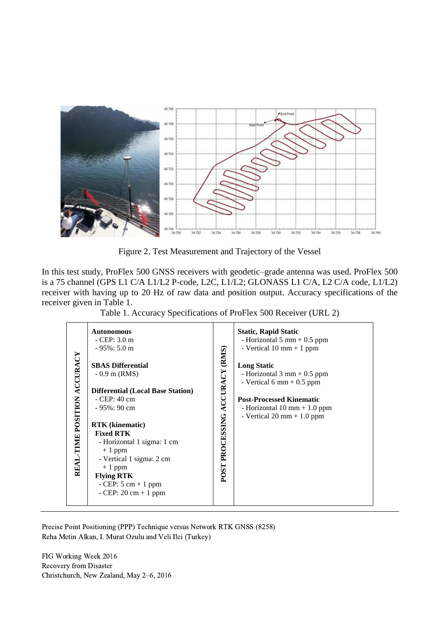

Figure 2. Test Measurement and Trajectory of the Vessel

In this test study, ProFlex 500 GNSS receivers with geodetic–grade antenna was used. ProFlex 500 is a 75 channel (GPS L1 C/A L1/L2 P-code, L2C, L1/L2; GLONASS L1 C/A, L2 C/A code, L1/L2) receiver with having up to 20 Hz of raw data and position output. Accuracy specifications of the receiver given in Table 1.

Table 1. Accuracy Specifications of ProFlex 500 Receiver (URL 2)

| REAL-TIME POSITION ACCURACY | <b>Autonomous</b><br>$-$ CEP: 3.0 m<br>$-95\%:5.0 m$<br><b>SBAS Differential</b><br>$-0.9$ m (RMS)<br><b>Differential (Local Base Station)</b><br>- CEP: 40 cm                                                              | (RMS)                                    | <b>Static, Rapid Static</b><br>- Horizontal $5 \text{ mm} + 0.5 \text{ ppm}$<br>- Vertical $10 \text{ mm} + 1 \text{ ppm}$<br><b>Long Static</b><br>- Horizontal $3 \text{ mm} + 0.5 \text{ ppm}$<br>- Vertical 6 mm $+$ 0.5 ppm<br><b>Post-Processed Kinematic</b> |
|-----------------------------|-----------------------------------------------------------------------------------------------------------------------------------------------------------------------------------------------------------------------------|------------------------------------------|---------------------------------------------------------------------------------------------------------------------------------------------------------------------------------------------------------------------------------------------------------------------|
|                             | $-95\%$ : 90 cm<br><b>RTK</b> (kinematic)<br><b>Fixed RTK</b><br>- Horizontal 1 sigma: 1 cm<br>$+1$ ppm<br>- Vertical 1 sigma: 2 cm<br>$+1$ ppm<br><b>Flying RTK</b><br>$-$ CEP: 5 cm $+$ 1 ppm<br>$-$ CEP: 20 cm $+$ 1 ppm | PROCESSING ACCURACY<br>POST <sup>1</sup> | - Horizontal $10 \text{ mm} + 1.0 \text{ ppm}$<br>- Vertical $20 \text{ mm} + 1.0 \text{ ppm}$                                                                                                                                                                      |

Precise Point Positioning (PPP) Technique versus Network RTK GNSS (8258) Reha Metin Alkan, I. Murat Ozulu and Veli Ilci (Turkey)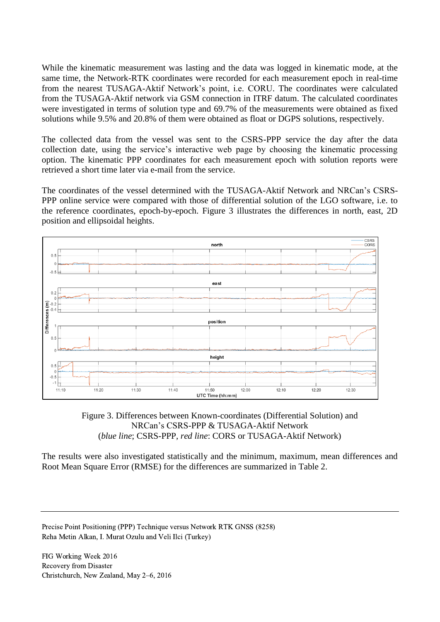While the kinematic measurement was lasting and the data was logged in kinematic mode, at the same time, the Network-RTK coordinates were recorded for each measurement epoch in real-time from the nearest TUSAGA-Aktif Network's point, i.e. CORU. The coordinates were calculated from the TUSAGA-Aktif network via GSM connection in ITRF datum. The calculated coordinates were investigated in terms of solution type and 69.7% of the measurements were obtained as fixed solutions while 9.5% and 20.8% of them were obtained as float or DGPS solutions, respectively.

The collected data from the vessel was sent to the CSRS-PPP service the day after the data collection date, using the service's interactive web page by choosing the kinematic processing option. The kinematic PPP coordinates for each measurement epoch with solution reports were retrieved a short time later via e-mail from the service.

The coordinates of the vessel determined with the TUSAGA-Aktif Network and NRCan's CSRS-PPP online service were compared with those of differential solution of the LGO software, i.e. to the reference coordinates, epoch-by-epoch. Figure 3 illustrates the differences in north, east, 2D position and ellipsoidal heights.



#### Figure 3. Differences between Known-coordinates (Differential Solution) and NRCan's CSRS-PPP & TUSAGA-Aktif Network (*blue line*; CSRS-PPP, *red line*: CORS or TUSAGA-Aktif Network)

The results were also investigated statistically and the minimum, maximum, mean differences and Root Mean Square Error (RMSE) for the differences are summarized in Table 2.

Precise Point Positioning (PPP) Technique versus Network RTK GNSS (8258) Reha Metin Alkan, I. Murat Ozulu and Veli Ilci (Turkey)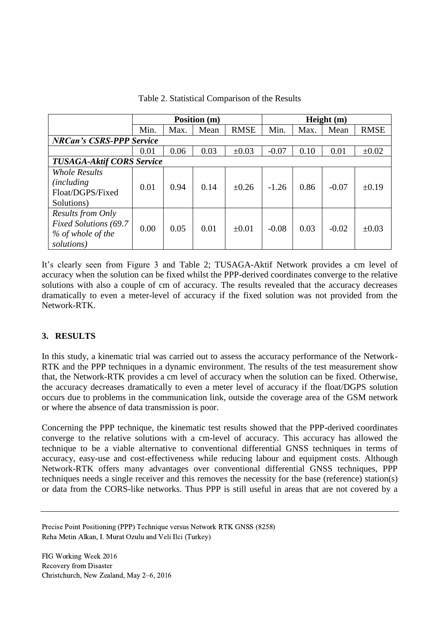|                                  | Position (m) |      |      |             | Height $(m)$ |      |         |             |  |  |  |
|----------------------------------|--------------|------|------|-------------|--------------|------|---------|-------------|--|--|--|
|                                  | Min.         | Max. | Mean | <b>RMSE</b> | Min.         | Max. | Mean    | <b>RMSE</b> |  |  |  |
| <b>NRCan's CSRS-PPP Service</b>  |              |      |      |             |              |      |         |             |  |  |  |
|                                  | 0.01         | 0.06 | 0.03 | $\pm 0.03$  | $-0.07$      | 0.10 | 0.01    | $\pm 0.02$  |  |  |  |
| <b>TUSAGA-Aktif CORS Service</b> |              |      |      |             |              |      |         |             |  |  |  |
| <b>Whole Results</b>             |              |      |      |             |              |      |         |             |  |  |  |
| <i>(including)</i>               | 0.01         | 0.94 | 0.14 | $\pm 0.26$  | $-1.26$      | 0.86 | $-0.07$ | $\pm 0.19$  |  |  |  |
| Float/DGPS/Fixed                 |              |      |      |             |              |      |         |             |  |  |  |
| Solutions)                       |              |      |      |             |              |      |         |             |  |  |  |
| <b>Results from Only</b>         | 0.00         | 0.05 | 0.01 | $\pm 0.01$  | $-0.08$      | 0.03 | $-0.02$ | $\pm 0.03$  |  |  |  |
| <b>Fixed Solutions (69.7</b>     |              |      |      |             |              |      |         |             |  |  |  |
| % of whole of the                |              |      |      |             |              |      |         |             |  |  |  |
| solutions)                       |              |      |      |             |              |      |         |             |  |  |  |

Table 2. Statistical Comparison of the Results

It's clearly seen from Figure 3 and Table 2; TUSAGA-Aktif Network provides a cm level of accuracy when the solution can be fixed whilst the PPP-derived coordinates converge to the relative solutions with also a couple of cm of accuracy. The results revealed that the accuracy decreases dramatically to even a meter-level of accuracy if the fixed solution was not provided from the Network-RTK.

## **3. RESULTS**

In this study, a kinematic trial was carried out to assess the accuracy performance of the Network-RTK and the PPP techniques in a dynamic environment. The results of the test measurement show that, the Network-RTK provides a cm level of accuracy when the solution can be fixed. Otherwise, the accuracy decreases dramatically to even a meter level of accuracy if the float/DGPS solution occurs due to problems in the communication link, outside the coverage area of the GSM network or where the absence of data transmission is poor.

Concerning the PPP technique, the kinematic test results showed that the PPP-derived coordinates converge to the relative solutions with a cm-level of accuracy. This accuracy has allowed the technique to be a viable alternative to conventional differential GNSS techniques in terms of accuracy, easy-use and cost-effectiveness while reducing labour and equipment costs. Although Network-RTK offers many advantages over conventional differential GNSS techniques, PPP techniques needs a single receiver and this removes the necessity for the base (reference) station(s) or data from the CORS-like networks. Thus PPP is still useful in areas that are not covered by a

Precise Point Positioning (PPP) Technique versus Network RTK GNSS (8258) Reha Metin Alkan, I. Murat Ozulu and Veli Ilci (Turkey)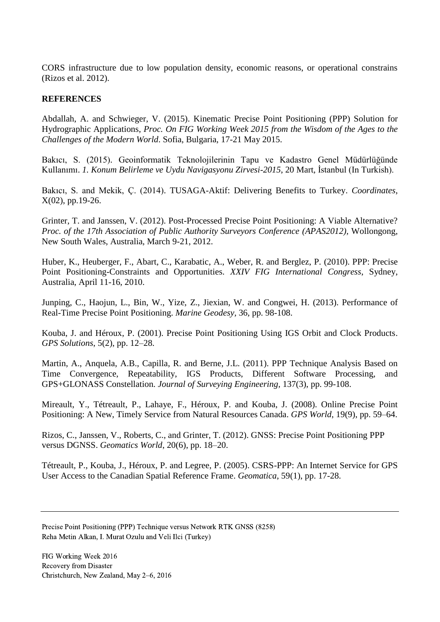CORS infrastructure due to low population density, economic reasons, or operational constrains (Rizos et al. 2012).

#### **REFERENCES**

Abdallah, A. and Schwieger, V. (2015). Kinematic Precise Point Positioning (PPP) Solution for Hydrographic Applications, *Proc. On FIG Working Week 2015 from the Wisdom of the Ages to the Challenges of the Modern World*. Sofia, Bulgaria, 17-21 May 2015.

Bakıcı, S. (2015). Geoinformatik Teknolojilerinin Tapu ve Kadastro Genel Müdürlüğünde Kullanımı. *1. Konum Belirleme ve Uydu Navigasyonu Zirvesi-2015*, 20 Mart, İstanbul (In Turkish).

Bakıcı, S. and Mekik, Ç. (2014). TUSAGA-Aktif: Delivering Benefits to Turkey. *Coordinates*, X(02), pp.19-26.

Grinter, T. and Janssen, V. (2012). Post-Processed Precise Point Positioning: A Viable Alternative? *Proc. of the 17th Association of Public Authority Surveyors Conference (APAS2012),* Wollongong, New South Wales, Australia, March 9-21, 2012.

Huber, K., Heuberger, F., Abart, C., Karabatic, A., Weber, R. and Berglez, P. (2010). PPP: Precise Point Positioning-Constraints and Opportunities. *XXIV FIG International Congress*, Sydney, Australia, April 11-16, 2010.

Junping, C., Haojun, L., Bin, W., Yize, Z., Jiexian, W. and Congwei, H. (2013). Performance of Real-Time Precise Point Positioning. *Marine Geodesy,* 36, pp. 98-108.

Kouba, J. and Héroux, P. (2001). Precise Point Positioning Using IGS Orbit and Clock Products. *GPS Solutions*, 5(2), pp. 12–28.

Martin, A., Anquela, A.B., Capilla, R. and Berne, J.L. (2011). PPP Technique Analysis Based on Time Convergence, Repeatability, IGS Products, Different Software Processing, and GPS+GLONASS Constellation. *Journal of Surveying Engineering,* 137(3), pp. 99-108.

Mireault, Y., Tétreault, P., Lahaye, F., Héroux, P. and Kouba, J. (2008). Online Precise Point Positioning: A New, Timely Service from Natural Resources Canada. *GPS World*, 19(9), pp. 59–64.

Rizos, C., Janssen, V., Roberts, C., and Grinter, T. (2012). GNSS: Precise Point Positioning PPP versus DGNSS. *Geomatics World*, 20(6), pp. 18–20.

Tétreault, P., Kouba, J., Héroux, P. and Legree, P. (2005). CSRS-PPP: An Internet Service for GPS User Access to the Canadian Spatial Reference Frame. *Geomatica*, 59(1), pp. 17-28.

Precise Point Positioning (PPP) Technique versus Network RTK GNSS (8258) Reha Metin Alkan, I. Murat Ozulu and Veli Ilci (Turkey)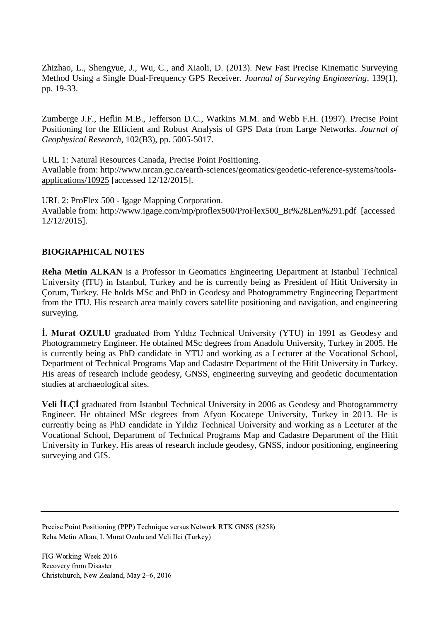Zhizhao, L., Shengyue, J., Wu, C., and Xiaoli, D. (2013). New Fast Precise Kinematic Surveying Method Using a Single Dual-Frequency GPS Receiver. *Journal of Surveying Engineering,* 139(1), pp. 19-33.

Zumberge J.F., Heflin M.B., Jefferson D.C., Watkins M.M. and Webb F.H. (1997). Precise Point Positioning for the Efficient and Robust Analysis of GPS Data from Large Networks. *Journal of Geophysical Research*, 102(B3), pp. 5005-5017.

URL 1: Natural Resources Canada, Precise Point Positioning. Available from: [http://www.nrcan.gc.ca/earth-sciences/geomatics/geodetic-reference-systems/tools](http://www.nrcan.gc.ca/earth-sciences/geomatics/geodetic-reference-systems/tools-applications/10925)[applications/10925](http://www.nrcan.gc.ca/earth-sciences/geomatics/geodetic-reference-systems/tools-applications/10925) [accessed 12/12/2015].

URL 2: ProFlex 500 - Igage Mapping Corporation. Available from: [http://www.igage.com/mp/proflex500/ProFlex500\\_Br%28Len%291.pdf](http://www.igage.com/mp/proflex500/ProFlex500_Br%28Len%291.pdf) [accessed 12/12/2015].

#### **BIOGRAPHICAL NOTES**

**Reha Metin ALKAN** is a Professor in Geomatics Engineering Department at Istanbul Technical University (ITU) in Istanbul, Turkey and he is currently being as President of Hitit University in Çorum, Turkey. He holds MSc and PhD in Geodesy and Photogrammetry Engineering Department from the ITU. His research area mainly covers satellite positioning and navigation, and engineering surveying.

**İ. Murat OZULU** graduated from Yıldız Technical University (YTU) in 1991 as Geodesy and Photogrammetry Engineer. He obtained MSc degrees from Anadolu University, Turkey in 2005. He is currently being as PhD candidate in YTU and working as a Lecturer at the Vocational School, Department of Technical Programs Map and Cadastre Department of the Hitit University in Turkey. His areas of research include geodesy, GNSS, engineering surveying and geodetic documentation studies at archaeological sites.

**Veli İLÇİ** graduated from Istanbul Technical University in 2006 as Geodesy and Photogrammetry Engineer. He obtained MSc degrees from Afyon Kocatepe University, Turkey in 2013. He is currently being as PhD candidate in Yıldız Technical University and working as a Lecturer at the Vocational School, Department of Technical Programs Map and Cadastre Department of the Hitit University in Turkey. His areas of research include geodesy, GNSS, indoor positioning, engineering surveying and GIS.

Precise Point Positioning (PPP) Technique versus Network RTK GNSS (8258) Reha Metin Alkan, I. Murat Ozulu and Veli Ilci (Turkey)